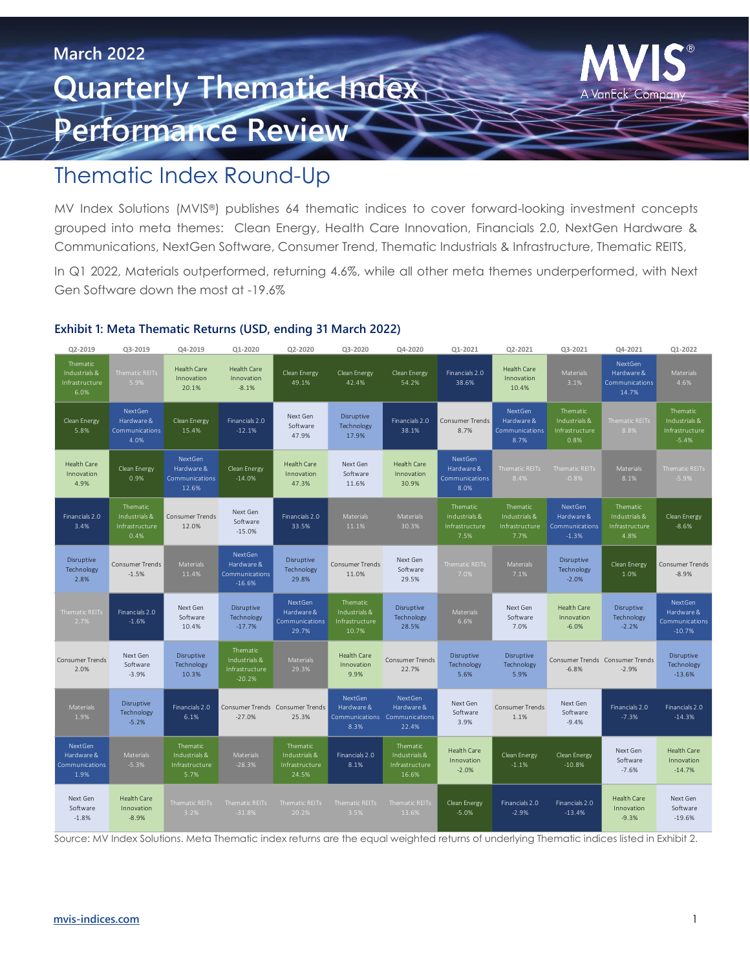# **March 2022 Quarterly Thematie Index Performance Review**



MV Index Solutions (MVIS®) publishes 64 thematic indices to cover forward-looking investment concepts grouped into meta themes: Clean Energy, Health Care Innovation, Financials 2.0, NextGen Hardware & Communications, NextGen Software, Consumer Trend, Thematic Industrials & Infrastructure, Thematic REITS,

In Q1 2022, Materials outperformed, returning 4.6%, while all other meta themes underperformed, with Next Gen Software down the most at -19.6%

### **Exhibit 1: Meta Thematic Returns (USD, ending 31 March 2022)**

| Q2-2019                                             | Q3-2019                                             | Q4-2019                                             | Q1-2020                                                 | Q2-2020                                              | Q3-2020                                              | Q4-2020                                                         | Q1-2021                                             | Q2-2021                                             | Q3-2021                                             | Q4-2021                                             | 01-2022                                                |  |
|-----------------------------------------------------|-----------------------------------------------------|-----------------------------------------------------|---------------------------------------------------------|------------------------------------------------------|------------------------------------------------------|-----------------------------------------------------------------|-----------------------------------------------------|-----------------------------------------------------|-----------------------------------------------------|-----------------------------------------------------|--------------------------------------------------------|--|
| Thematic<br>Industrials &<br>Infrastructure<br>6.0% | <b>Thematic REITs</b><br>5.9%                       | <b>Health Care</b><br>Innovation<br>20.1%           | <b>Health Care</b><br>Innovation<br>$-8.1%$             | Clean Energy<br>49.1%                                | Clean Energy<br>42.4%                                | Clean Energy<br>54.2%                                           | Financials 2.0<br>38.6%                             | <b>Health Care</b><br>Innovation<br>10.4%           | Materials<br>3.1%                                   | NextGen<br>Hardware &<br>Communications<br>14.7%    | Materials<br>4.6%                                      |  |
| Clean Energy<br>5.8%                                | NextGen<br>Hardware &<br>Communications<br>4.0%     | Clean Energy<br>15.4%                               | Financials 2.0<br>$-12.1%$                              | Next Gen<br>Software<br>47.9%                        | Disruptive<br>Technology<br>17.9%                    | Financials 2.0<br>38.1%                                         | Consumer Trends<br>8.7%                             | NextGen<br>Hardware &<br>Communications<br>8.7%     | Thematic<br>Industrials &<br>Infrastructure<br>0.8% | <b>Thematic REITs</b><br>8.8%                       | Thematic<br>Industrials &<br>Infrastructure<br>$-5.4%$ |  |
| <b>Health Care</b><br>Innovation<br>4.9%            | Clean Energy<br>0.9%                                | NextGen<br>Hardware &<br>Communications<br>12.6%    | Clean Energy<br>$-14.0%$                                | <b>Health Care</b><br>Innovation<br>47.3%            | Next Gen<br>Software<br>11.6%                        | Health Care<br>Innovation<br>30.9%                              | NextGen<br>Hardware &<br>Communications<br>8.0%     | <b>Thematic REITs</b><br>8.4%                       | <b>Thematic REITs</b><br>$-0.8%$                    | <b>Materials</b><br>8.1%                            | Thematic REITs<br>$-5.9%$                              |  |
| Financials 2.0<br>3.4%                              | Thematic<br>Industrials &<br>Infrastructure<br>0.4% | Consumer Trends<br>12.0%                            | Next Gen<br>Software<br>$-15.0%$                        | Financials 2.0<br>33.5%                              | Materials<br>11.1%                                   | Materials<br>30.3%                                              | Thematic<br>Industrials &<br>Infrastructure<br>7.5% | Thematic<br>Industrials &<br>Infrastructure<br>7.7% | NextGen<br>Hardware &<br>Communications<br>$-1.3%$  | Thematic<br>Industrials &<br>Infrastructure<br>4.8% | Clean Energy<br>$-8.6%$                                |  |
| Disruptive<br>Technology<br>2.8%                    | <b>Consumer Trends</b><br>$-1.5%$                   | <b>Materials</b><br>11.4%                           | NextGen<br>Hardware &<br>Communications<br>$-16.6%$     | Disruptive<br>Technology<br>29.8%                    | <b>Consumer Trends</b><br>11.0%                      | Next Gen<br>Software<br>29.5%                                   | <b>Thematic REITs</b><br>7.0%                       | Materials<br>7.1%                                   | Disruptive<br>Technology<br>$-2.0%$                 | Clean Energy<br>1.0%                                | <b>Consumer Trends</b><br>$-8.9%$                      |  |
| Thematic REITs<br>2.7%                              | Financials 2.0<br>$-1.6%$                           | Next Gen<br>Software<br>10.4%                       | Disruptive<br>Technology<br>$-17.7%$                    | NextGen<br>Hardware &<br>Communications<br>29.7%     | Thematic<br>Industrials &<br>Infrastructure<br>10.7% | Disruptive<br>Technology<br>28.5%                               | <b>Materials</b><br>6.6%                            | Next Gen<br>Software<br>7.0%                        | <b>Health Care</b><br>Innovation<br>$-6.0%$         | Disruptive<br>Technology<br>$-2.2%$                 | NextGen<br>Hardware &<br>Communications<br>$-10.7%$    |  |
| <b>Consumer Trends</b><br>2.0%                      | Next Gen<br>Software<br>$-3.9%$                     | Disruptive<br>Technology<br>10.3%                   | Thematic<br>Industrials &<br>Infrastructure<br>$-20.2%$ | <b>Materials</b><br>29.3%                            | Health Care<br>Innovation<br>9.9%                    | <b>Consumer Trends</b><br>22.7%                                 | Disruptive<br>Technology<br>5.6%                    | Disruptive<br>Technology<br>5.9%                    | Consumer Trends Consumer Trends<br>$-6.8%$          | $-2.9%$                                             | Disruptive<br>Technology<br>$-13.6%$                   |  |
| <b>Materials</b><br>1.9%                            | <b>Disruptive</b><br>Technology<br>$-5.2%$          | Financials 2.0<br>6.1%                              | $-27.0%$                                                | Consumer Trends Consumer Trends<br>25.3%             | NextGen<br>Hardware &<br>8.3%                        | NextGen<br>Hardware &<br>Communications Communications<br>22.4% | Next Gen<br>Software<br>3.9%                        | <b>Consumer Trends</b><br>1.1%                      | Next Gen<br>Software<br>$-9.4%$                     | Financials 2.0<br>$-7.3%$                           | Financials 2.0<br>$-14.3%$                             |  |
| NextGen<br>Hardware &<br>Communications<br>1.9%     | Materials<br>$-5.3%$                                | Thematic<br>Industrials &<br>Infrastructure<br>5.7% | <b>Materials</b><br>$-28.3%$                            | Thematic<br>Industrials &<br>Infrastructure<br>24.5% | Financials 2.0<br>8.1%                               | Thematic<br>Industrials &<br>Infrastructure<br>16.6%            | <b>Health Care</b><br>Innovation<br>$-2.0%$         | Clean Energy<br>$-1.1%$                             | Clean Energy<br>$-10.8%$                            | Next Gen<br>Software<br>$-7.6%$                     | <b>Health Care</b><br>Innovation<br>$-14.7%$           |  |
| Next Gen<br>Software<br>$-1.8%$                     | <b>Health Care</b><br>Innovation<br>$-8.9%$         | <b>Thematic REITs</b><br>3.2%                       | <b>Thematic REITs</b><br>$-31.8%$                       | Thematic REITs<br>20.2%                              | Thematic REITs<br>3.5%                               | <b>Thematic REITs</b><br>13.6%                                  | Clean Energy<br>$-5.0%$                             | Financials 2.0<br>$-2.9%$                           | Financials 2.0<br>$-13.4%$                          | <b>Health Care</b><br>Innovation<br>$-9.3%$         | Next Gen<br>Software<br>$-19.6%$                       |  |

Source: MV Index Solutions. Meta Thematic index returns are the equal weighted returns of underlying Thematic indices listed in Exhibit 2.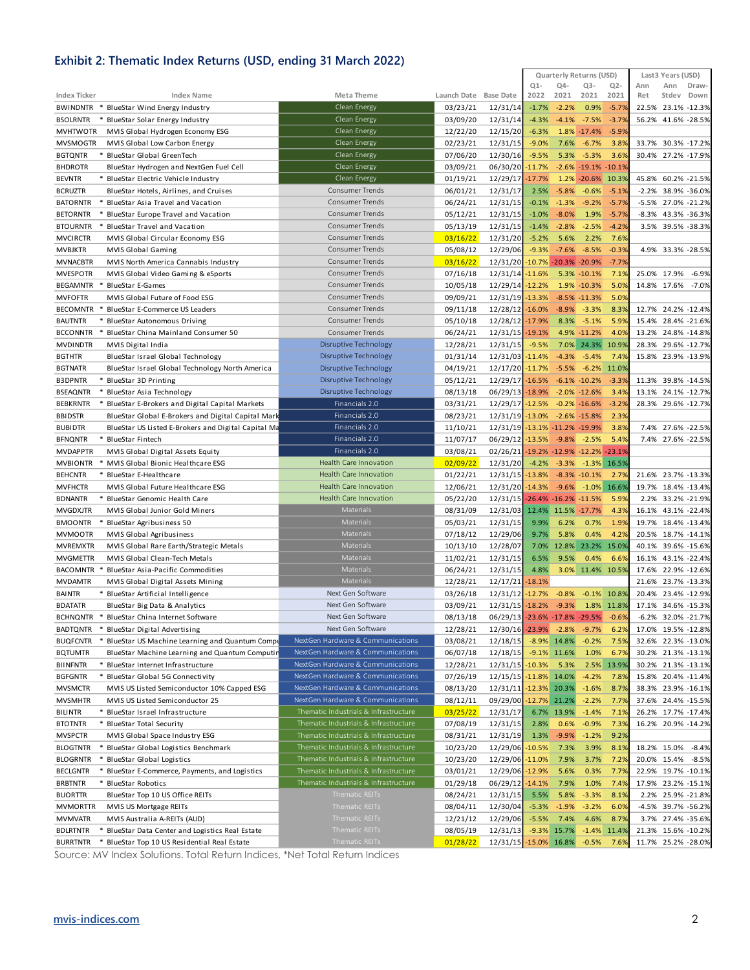### **Exhibit 2: Thematic Index Returns (USD, ending 31 March 2022)**

|                                                                                                                |                                                                                |                                              | Quarterly Returns (USD)                                             | Last3 Years (USD)                           |  |  |
|----------------------------------------------------------------------------------------------------------------|--------------------------------------------------------------------------------|----------------------------------------------|---------------------------------------------------------------------|---------------------------------------------|--|--|
| Index Ticker<br><b>Index Name</b>                                                                              | Meta Theme                                                                     | Launch Date Base Date                        | $Q1 -$<br>$Q4-$<br>$Q3-$<br>$Q2 -$<br>2021<br>2021<br>2022<br>2021  | Ann<br>Ann<br>Draw-<br>Ret<br>Down<br>Stdev |  |  |
| BWINDNTR * BlueStar Wind Energy Industry                                                                       | Clean Energy                                                                   | 03/23/21<br>12/31/14                         | $-2.2%$<br>0.9%<br>$-5.79$<br>$-1.7%$                               | 22.5% 23.1% -12.3%                          |  |  |
| <b>BSOLRNTR</b><br>BlueStar Solar Energy Industry<br>*                                                         | <b>Clean Energy</b>                                                            | 03/09/20<br>12/31/14                         | $-3.79$<br>$-4.3%$<br>$-4.1%$<br>$-7.5%$                            | 56.2% 41.6% -28.5%                          |  |  |
| <b>MVHTWOTR</b><br>MVIS Global Hydrogen Economy ESG                                                            | Clean Energy                                                                   | 12/22/20<br>12/15/20                         | 1.8% -17.4%<br>$-5.9%$<br>$-6.3%$                                   |                                             |  |  |
| <b>MVSMOGTR</b><br>MVIS Global Low Carbon Energy                                                               | Clean Energy                                                                   | 02/23/21<br>12/31/15                         | 3.8%<br>$-9.0%$<br>7.6%<br>$-6.7%$                                  | 33.7% 30.3% -17.2%                          |  |  |
| <b>BGTQNTR</b><br>BlueStar Global GreenTech                                                                    | Clean Energy                                                                   | 07/06/20<br>12/30/16                         | $-9.5%$<br>5.3%<br>$-5.3%$<br>3.69                                  | 30.4% 27.2% -17.9%                          |  |  |
| <b>BHDROTR</b><br>BlueStar Hydrogen and NextGen Fuel Cell                                                      | Clean Energy                                                                   | 03/09/21<br>06/30/20                         | $-2.6\% -19.1\% -10.1\%$<br>$-11.7%$                                |                                             |  |  |
| <b>BEVNTR</b><br>* BlueStar Electric Vehicle Industry                                                          | <b>Clean Energy</b>                                                            | 01/19/21<br>12/29/17                         | $-17.7%$<br>1.2% -20.6% 10.3%                                       | 45.8% 60.2% -21.5%                          |  |  |
| <b>BCRUZTR</b><br>BlueStar Hotels, Airlines, and Cruises                                                       | <b>Consumer Trends</b>                                                         | 06/01/21<br>12/31/17                         | $-5.8%$<br>$-0.6%$<br>$-5.19$<br>2.5%                               | -2.2% 38.9% -36.0%                          |  |  |
| <b>BATORNTR</b><br>BlueStar Asia Travel and Vacation                                                           | Consumer Trends                                                                | 06/24/21<br>12/31/15                         | $-9.2%$<br>$-5.79$<br>$-0.1%$<br>$-1.3%$                            | -5.5% 27.0% -21.2%                          |  |  |
| <b>BETORNTR</b><br>BlueStar Europe Travel and Vacation                                                         | <b>Consumer Trends</b>                                                         | 05/12/21<br>12/31/15                         | $-1.0%$<br>$-8.0%$<br>1.9%<br>$-5.7%$                               | -8.3% 43.3% -36.3%                          |  |  |
| <b>BTOURNTR</b><br>BlueStar Travel and Vacation                                                                | <b>Consumer Trends</b>                                                         | 05/13/19<br>12/31/15                         | $-1.4%$<br>$-2.8%$<br>$-2.5%$<br>$-4.29$                            | 3.5% 39.5% -38.3%                           |  |  |
| <b>MVCIRCTR</b><br>MVIS Global Circular Economy ESG                                                            | <b>Consumer Trends</b>                                                         | 03/16/22<br>12/31/20                         | 2.2%<br>7.69<br>$-5.2%$<br>5.6%                                     |                                             |  |  |
| <b>MVBJKTR</b><br><b>MVIS Global Gaming</b>                                                                    | Consumer Trends                                                                | 05/08/12<br>12/29/06                         | $-8.5%$<br>$-0.39$<br>$-9.3%$<br>$-7.6%$                            | 4.9% 33.3% -28.5%                           |  |  |
| <b>MVNACBTR</b><br>MVIS North America Cannabis Industry                                                        | <b>Consumer Trends</b>                                                         | 03/16/22<br>12/31/20                         | $-10.7\% - 20.3\% - 20.9\%$<br>$-7.7%$                              |                                             |  |  |
| <b>MVESPOTR</b><br>MVIS Global Video Gaming & eSports                                                          | Consumer Trends                                                                | 07/16/18<br>12/31/14                         | 7.1%<br>$-11.6%$<br>5.3% -10.1%                                     | 25.0% 17.9%<br>$-6.9%$                      |  |  |
| <b>BEGAMNTR</b><br><b>BlueStar E-Games</b>                                                                     | Consumer Trends                                                                | 10/05/18<br>12/29/14                         | 5.09<br>$-12.2%$<br>1.9% -10.3%                                     | 14.8% 17.6%<br>$-7.0%$                      |  |  |
| <b>MVFOFTR</b><br>MVIS Global Future of Food ESG                                                               | Consumer Trends                                                                | 09/09/21<br>12/31/19                         | 5.0%<br>$-13.3%$<br>$-8.5\% -11.3\%$                                |                                             |  |  |
| <b>BECOMNTR</b><br>BlueStar E-Commerce US Leaders                                                              | Consumer Trends                                                                | 09/11/18<br>12/28/12                         | $-16.0%$<br>$-8.9%$<br>$-3.3%$<br>8.3%                              | 12.7% 24.2% -12.4%                          |  |  |
| <b>BAUTNTR</b><br>* BlueStar Autonomous Driving                                                                | <b>Consumer Trends</b><br><b>Consumer Trends</b>                               | 05/10/18<br>12/28/12                         | 8.3% -5.1%<br>5.9%<br>$-17.9%$                                      | 15.4% 28.4% -21.6%                          |  |  |
| <b>BCCONNTR</b><br>BlueStar China Mainland Consumer 50<br><b>MVDINDTR</b><br>MVIS Digital India                | Disruptive Technology                                                          | 06/24/21<br>12/31/15<br>12/28/21<br>12/31/15 | 4.0%<br>$-19.1%$<br>4.9% -11.2%<br>$-9.5%$<br>7.0% 24.3%<br>10.9%   | 13.2% 24.8% -14.8%<br>28.3% 29.6% -12.7%    |  |  |
| <b>BGTHTR</b><br>BlueStar Israel Global Technology                                                             | Disruptive Technology                                                          | 01/31/14<br>12/31/03                         | 7.49<br>$-4.3%$<br>$-5.4%$<br>-11.4%                                | 15.8% 23.9% -13.9%                          |  |  |
| <b>BGTNATR</b><br>BlueStar Israel Global Technology North America                                              | Disruptive Technology                                                          | 04/19/21<br>12/17/20                         | $-6.2\%$ 11.0%<br>$-11.7%$<br>$-5.5%$                               |                                             |  |  |
| <b>B3DPNTR</b><br>* BlueStar 3D Printing                                                                       | Disruptive Technology                                                          | 12/29/17<br>05/12/21                         | $-3.39$<br>$-16.5%$<br>$-6.1\% -10.2\%$                             | 11.3% 39.8% -14.5%                          |  |  |
| <b>BSEAQNTR</b><br>* BlueStar Asia Technology                                                                  | <b>Disruptive Technology</b>                                                   | 08/13/18<br>06/29/13                         | $-2.0\% -12.6\%$<br>3.49<br>$-18.9%$                                | 13.1% 24.1% -12.7%                          |  |  |
| <b>BEBKRNTR</b><br>BlueStar E-Brokers and Digital Capital Markets                                              | Financials 2.0                                                                 | 03/31/21<br>12/29/17                         | $-3.2%$<br>$-12.5%$<br>$-0.2\% -16.6\%$                             | 28.3% 29.6% -12.7%                          |  |  |
| <b>BBIDSTR</b><br>BlueStar Global E-Brokers and Digital Capital Mark                                           | Financials 2.0                                                                 | 08/23/21<br>12/31/19                         | $-13.0%$<br>$-2.6\% -15.8\%$<br>2.3%                                |                                             |  |  |
| <b>BUBIDTR</b><br>BlueStar US Listed E-Brokers and Digital Capital Ma                                          | Financials 2.0                                                                 | 11/10/21                                     | 12/31/19 - 13.1% - 11.2% - 19.9%<br>3.8%                            | 7.4% 27.6% -22.5%                           |  |  |
| <b>BFNQNTR</b><br>* BlueStar Fintech                                                                           | Financials 2.0                                                                 | 11/07/17<br>06/29/12                         | $-13.5%$<br>$-9.8%$<br>$-2.5%$<br>5.4%                              | 7.4% 27.6% -22.5%                           |  |  |
| <b>MVDAPPTR</b><br>MVIS Global Digital Assets Equity                                                           | Financials 2.0                                                                 | 03/08/21<br>02/26/21                         | $-19.2\% -12.9\% -12.2\%$<br>$-23.19$                               |                                             |  |  |
| <b>MVBIONTR</b><br>MVIS Global Bionic Healthcare ESG                                                           | Health Care Innovation                                                         | 02/09/22<br>12/31/20                         | $-4.2%$<br>$-3.3\% -1.3\%$ 16.5%                                    |                                             |  |  |
| <b>BEHCNTR</b><br>* BlueStar E-Healthcare                                                                      | Health Care Innovation                                                         | 01/22/21<br>12/31/15                         | 2.79<br>$-13.8%$<br>$-8.3\% -10.1\%$                                | 21.6% 23.7% -13.3%                          |  |  |
| <b>MVFHCTR</b><br>MVIS Global Future Healthcare ESG                                                            | Health Care Innovation                                                         | 12/06/21<br>12/31/20                         | $-9.6\% -1.0\%$ 16.6%<br>$-14.3%$                                   | 19.7% 18.4% -13.4%                          |  |  |
| <b>BDNANTR</b><br>* BlueStar Genomic Health Care                                                               | Health Care Innovation                                                         | 05/22/20<br>12/31/15                         | $-26.4\% -16.2\% -11.5\%$<br>5.99                                   | 2.2% 33.2% -21.9%                           |  |  |
| <b>MVGDXJTR</b><br>MVIS Global Junior Gold Miners                                                              | Materials                                                                      | 08/31/09<br>12/31/03                         | 12.4% 11.5% -17.7%<br>4.3%                                          | 16.1% 43.1% -22.4%                          |  |  |
| <b>BMOONTR</b><br>BlueStar Agribusiness 50                                                                     | Materials                                                                      | 05/03/21<br>12/31/15                         | 0.7%<br>1.99<br>9.9%<br>6.2%                                        | 19.7% 18.4% -13.4%                          |  |  |
| <b>MVMOOTR</b><br>MVIS Global Agribusiness                                                                     | Materials<br>Materials                                                         | 07/18/12<br>12/29/06                         | 0.4%<br>4.2%<br>9.7%<br>5.8%                                        | 20.5% 18.7% -14.1%                          |  |  |
| <b>MVREMXTR</b><br>MVIS Global Rare Earth/Strategic Metals<br><b>MVGMETTR</b><br>MVIS Global Clean-Tech Metals | Materials                                                                      | 10/13/10<br>12/28/07<br>11/02/21<br>12/31/15 | 7.0% 12.8% 23.2%<br>15.0%<br>9.5%<br>0.4%<br>6.69<br>6.5%           | 40.1% 39.6% -15.6%<br>16.1% 43.1% -22.4%    |  |  |
| <b>BACOMNTR</b><br>BlueStar Asia-Pacific Commodities                                                           | Materials                                                                      | 06/24/21<br>12/31/15                         | 4.8%<br>3.0% 11.4% 10.5%                                            | 17.6% 22.9% -12.6%                          |  |  |
| <b>MVDAMTR</b><br>MVIS Global Digital Assets Mining                                                            | Materials                                                                      | 12/28/21<br>12/17/21                         | $-18.1%$                                                            | 21.6% 23.7% -13.3%                          |  |  |
| <b>BAINTR</b><br>* BlueStar Artificial Intelligence                                                            | Next Gen Software                                                              | 03/26/18<br>12/31/12                         | $-0.8%$<br>$-12.7%$<br>$-0.1\%$ 10.8%                               | 20.4% 23.4% -12.9%                          |  |  |
| <b>BDATATR</b><br>BlueStar Big Data & Analytics                                                                | Next Gen Software                                                              | 03/09/21                                     | 12/31/15 -18.2% -9.3%<br>1.8% 11.8%                                 | 17.1% 34.6% -15.3%                          |  |  |
| BCHNQNTR * BlueStar China Internet Software                                                                    | Next Gen Software                                                              | 08/13/18                                     | 06/29/13 -23.6% -17.8% -29.5%<br>$-0.6%$                            | 32.0% -21.7%<br>$-6.2%$                     |  |  |
| * BlueStar Digital Advertising<br>BADTQNTR                                                                     | Next Gen Software                                                              | 12/28/21<br>12/30/16 -23.9%                  | $-2.8%$<br>$-9.7%$<br>6.2%                                          | 17.0% 19.5% -12.8%                          |  |  |
| BlueStar US Machine Learning and Quantum Compu<br><b>BUQFCNTR</b>                                              | NextGen Hardware & Communications                                              | 03/08/21<br>12/18/15                         | $-8.9\%$ 14.8%<br>$-0.2%$<br>7.5%                                   | 32.6% 22.3% -13.0%                          |  |  |
| <b>BQTUMTR</b><br>BlueStar Machine Learning and Quantum Computir                                               | NextGen Hardware & Communications                                              | 06/07/18<br>12/18/15                         | $-9.1\%$ 11.6%<br>1.0%<br>6.7%                                      | 30.2% 21.3% -13.1%                          |  |  |
| <b>BIINFNTR</b><br>* BlueStar Internet Infrastructure                                                          | NextGen Hardware & Communications                                              | 12/28/21<br>12/31/15 - 10.3%                 | 5.3%<br>2.5% 13.9%                                                  | 30.2% 21.3% -13.1%                          |  |  |
| <b>BGFGNTR</b><br>* BlueStar Global 5G Connectivity                                                            | NextGen Hardware & Communications                                              | 07/26/19                                     | 12/15/15 -11.8% 14.0%<br>$-4.2%$<br>7.8%                            | 15.8% 20.4% -11.4%                          |  |  |
| <b>MVSMCTR</b><br>MVIS US Listed Semiconductor 10% Capped ESG                                                  | NextGen Hardware & Communications                                              | 08/13/20<br>12/31/11                         | $-12.3\%$ 20.3%<br>$-1.6%$<br>8.7%                                  | 38.3% 23.9% -16.1%                          |  |  |
| <b>MVSMHTR</b><br>MVIS US Listed Semiconductor 25                                                              | NextGen Hardware & Communications                                              | 08/12/11                                     | 09/29/00 -12.7% 21.2%<br>$-2.2%$<br>7.7%                            | 37.6% 24.4% -15.5%                          |  |  |
| <b>BILINTR</b><br>* BlueStar Israel Infrastructure                                                             | Thematic Industrials & Infrastructure                                          | 03/25/22<br>12/31/17                         | 6.7% 13.9%<br>$-1.4%$<br>7.19                                       | 26.2% 17.7% -17.4%                          |  |  |
| <b>BTOTNTR</b><br>* BlueStar Total Security                                                                    | Thematic Industrials & Infrastructure                                          | 07/08/19<br>12/31/15                         | $-0.9%$<br>0.6%<br>7.39<br>2.8%                                     | 16.2% 20.9% -14.2%                          |  |  |
| <b>MVSPCTR</b><br>MVIS Global Space Industry ESG                                                               | Thematic Industrials & Infrastructure                                          | 08/31/21<br>12/31/19                         | 1.3%<br>$-9.9%$<br>$-1.2%$<br>9.2%                                  |                                             |  |  |
| * BlueStar Global Logistics Benchmark<br><b>BLOGTNTR</b>                                                       | Thematic Industrials & Infrastructure                                          | 10/23/20<br>12/29/06 -10.5%                  | 7.3%<br>3.9%<br>8.1%                                                | 18.2% 15.0%<br>$-8.4%$                      |  |  |
| * BlueStar Global Logistics<br><b>BLOGRNTR</b>                                                                 | Thematic Industrials & Infrastructure                                          | 10/23/20<br>12/29/06 -11.0%                  | 7.9%<br>3.7%<br>7.2%                                                | 20.0% 15.4% -8.5%                           |  |  |
| * BlueStar E-Commerce, Payments, and Logistics<br><b>BECLGNTR</b>                                              | Thematic Industrials & Infrastructure<br>Thematic Industrials & Infrastructure | 03/01/21<br>12/29/06 -12.9%                  | 5.6%<br>0.3%<br>7.7%                                                | 22.9% 19.7% -10.1%                          |  |  |
| <b>BRBTNTR</b><br>* BlueStar Robotics<br><b>BUORTTR</b><br>BlueStar Top 10 US Office REITs                     | Thematic REITs                                                                 | 01/29/18<br>06/29/12<br>08/24/21<br>12/31/15 | 7.9%<br>1.0%<br>$-14.1%$<br>7.4%<br>5.5%<br>5.8%<br>$-3.3%$<br>8.1% | 17.9% 23.2% -15.1%<br>2.2% 25.9% -21.8%     |  |  |
| <b>MVMORTTR</b><br>MVIS US Mortgage REITs                                                                      | Thematic REITs                                                                 | 08/04/11<br>12/30/04                         | $-1.9%$<br>$-3.2%$<br>$-5.3%$<br>6.0%                               | -4.5% 39.7% -56.2%                          |  |  |
| <b>MVMVATR</b><br>MVIS Australia A-REITs (AUD)                                                                 | Thematic REITs                                                                 | 12/21/12<br>12/29/06                         | $-5.5%$<br>7.4%<br>4.6%<br>8.7%                                     | 3.7% 27.4% -35.6%                           |  |  |
| <b>BDLRTNTR</b><br>BlueStar Data Center and Logistics Real Estate                                              | Thematic REITs                                                                 | 08/05/19<br>12/31/13                         | $-9.3\%$ 15.7%<br>$-1.4\%$ 11.4%                                    | 21.3% 15.6% -10.2%                          |  |  |
| * BlueStar Top 10 US Residential Real Estate<br><b>BURRTNTR</b>                                                | <b>Thematic REITs</b>                                                          | 01/28/22<br>12/31/15                         | $-15.0\%$ 16.8%<br>$-0.5%$<br>7.69                                  | 11.7% 25.2% -28.0%                          |  |  |

Source: MV Index Solutions. Total Return Indices, \*Net Total Return Indices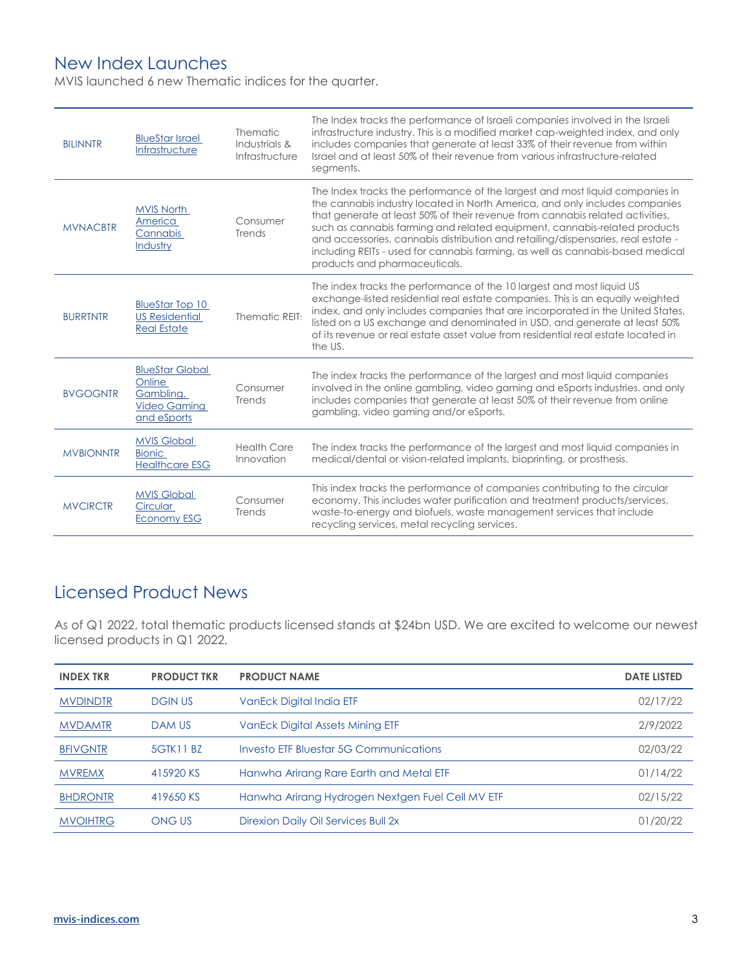## New Index Launches

MVIS launched 6 new Thematic indices for the quarter.

| <b>BILINNTR</b>  | <b>BlueStar Israel</b><br>Infrastructure                                            | Thematic<br>Industrials &<br>Infrastructure | The Index tracks the performance of Israeli companies involved in the Israeli<br>infrastructure industry. This is a modified market cap-weighted index, and only<br>includes companies that generate at least 33% of their revenue from within<br>Israel and at least 50% of their revenue from various infrastructure-related<br>segments.                                                                                                                                                                                      |
|------------------|-------------------------------------------------------------------------------------|---------------------------------------------|----------------------------------------------------------------------------------------------------------------------------------------------------------------------------------------------------------------------------------------------------------------------------------------------------------------------------------------------------------------------------------------------------------------------------------------------------------------------------------------------------------------------------------|
| <b>MVNACBTR</b>  | <b>MVIS North</b><br>America<br>Cannabis<br>Industry                                | Consumer<br>Trends                          | The Index tracks the performance of the largest and most liquid companies in<br>the cannabis industry located in North America, and only includes companies<br>that generate at least 50% of their revenue from cannabis related activities,<br>such as cannabis farming and related equipment, cannabis-related products<br>and accessories, cannabis distribution and retailing/dispensaries, real estate -<br>including REITs - used for cannabis farming, as well as cannabis-based medical<br>products and pharmaceuticals. |
| <b>BURRTNTR</b>  | <b>BlueStar Top 10</b><br><b>US Residential</b><br><b>Real Estate</b>               | Thematic REIT:                              | The index tracks the performance of the 10 largest and most liquid US<br>exchange-listed residential real estate companies. This is an equally weighted<br>index, and only includes companies that are incorporated in the United States,<br>listed on a US exchange and denominated in USD, and generate at least 50%<br>of its revenue or real estate asset value from residential real estate located in<br>the US.                                                                                                           |
| <b>BVGOGNTR</b>  | <b>BlueStar Global</b><br>Online<br>Gamblina.<br><b>Video Gaming</b><br>and eSports | Consumer<br>Trends                          | The index tracks the performance of the largest and most liquid companies<br>involved in the online gambling, video gaming and eSports industries. and only<br>includes companies that generate at least 50% of their revenue from online<br>gambling, video gaming and/or eSports.                                                                                                                                                                                                                                              |
| <b>MVBIONNTR</b> | <b>MVIS Global</b><br><b>Bionic</b><br><b>Healthcare ESG</b>                        | <b>Health Care</b><br>Innovation            | The index tracks the performance of the largest and most liquid companies in<br>medical/dental or vision-related implants, bioprinting, or prosthesis.                                                                                                                                                                                                                                                                                                                                                                           |
| <b>MVCIRCTR</b>  | <b>MVIS Global</b><br>Circular<br><b>Economy ESG</b>                                | Consumer<br>Trends                          | This index tracks the performance of companies contributing to the circular<br>economy. This includes water purification and treatment products/services,<br>waste-to-energy and biofuels, waste management services that include<br>recycling services, metal recycling services.                                                                                                                                                                                                                                               |

# Licensed Product News

As of Q1 2022, total thematic products licensed stands at \$24bn USD. We are excited to welcome our newest licensed products in Q1 2022.

| <b>INDEX TKR</b> | <b>PRODUCT TKR</b> | <b>PRODUCT NAME</b>                              | <b>DATE LISTED</b> |
|------------------|--------------------|--------------------------------------------------|--------------------|
| <b>MVDINDTR</b>  | <b>DGIN US</b>     | VanEck Digital India ETF                         | 02/17/22           |
| <b>MVDAMTR</b>   | <b>DAM US</b>      | Van Eck Digital Assets Mining ETF                | 2/9/2022           |
| <b>BFIVGNTR</b>  | 5GTK11 BZ          | Investo ETF Bluestar 5G Communications           | 02/03/22           |
| <b>MVREMX</b>    | 415920 KS          | Hanwha Arirang Rare Earth and Metal ETF          | 01/14/22           |
| <b>BHDRONTR</b>  | 419650 KS          | Hanwha Arirang Hydrogen Nextgen Fuel Cell MV ETF | 02/15/22           |
| <b>MVOIHTRG</b>  | <b>ONGUS</b>       | Direxion Daily Oil Services Bull 2x              | 01/20/22           |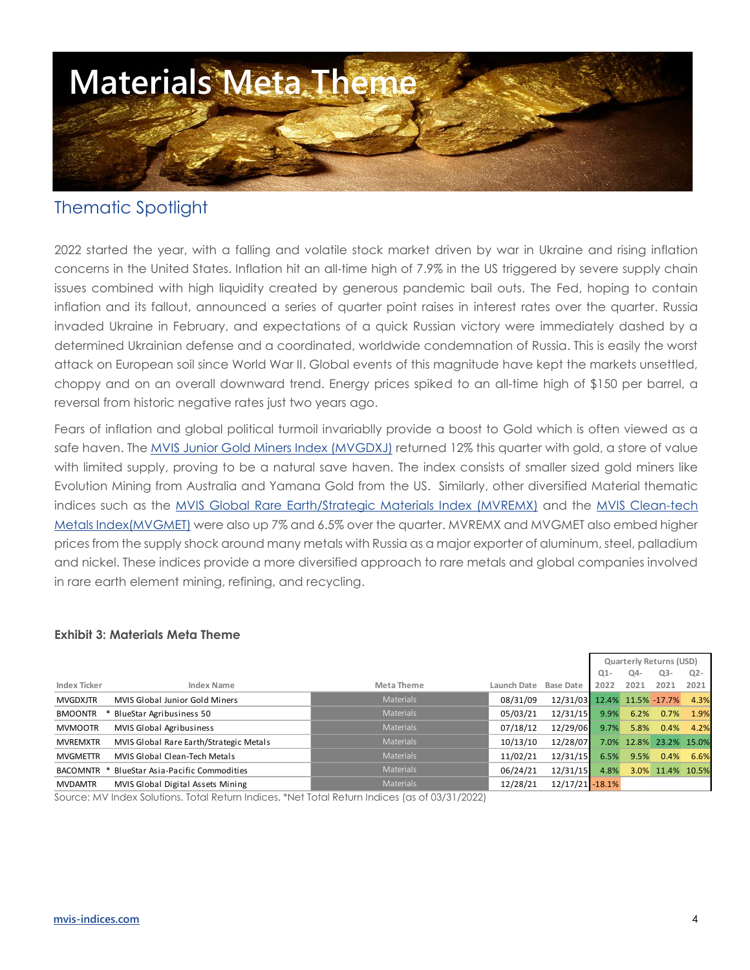

### Thematic Spotlight

2022 started the year, with a falling and volatile stock market driven by war in Ukraine and rising inflation concerns in the United States. Inflation hit an all-time high of 7.9% in the US triggered by severe supply chain issues combined with high liquidity created by generous pandemic bail outs. The Fed, hoping to contain inflation and its fallout, announced a series of quarter point raises in interest rates over the quarter. Russia invaded Ukraine in February, and expectations of a quick Russian victory were immediately dashed by a determined Ukrainian defense and a coordinated, worldwide condemnation of Russia. This is easily the worst attack on European soil since World War II. Global events of this magnitude have kept the markets unsettled, choppy and on an overall downward trend. Energy prices spiked to an all-time high of \$150 per barrel, a reversal from historic negative rates just two years ago.

Fears of inflation and global political turmoil invariablly provide a boost to Gold which is often viewed as a safe haven. The [MVIS Junior Gold Miners Index \(MVGDXJ\)](https://www.mvis-indices.com/indices/hard-asset/mvis-global-junior-gold-miners?utm_source=mvis&utm_medium=web&utm_campaign=thematicquarterly) returned 12% this quarter with gold, a store of value with limited supply, proving to be a natural save haven. The index consists of smaller sized gold miners like Evolution Mining from Australia and Yamana Gold from the US. Similarly, other diversified Material thematic indices such as the [MVIS Global Rare Earth/Strategic Materials Index](https://www.mvis-indices.com/indices/hard-asset/mvis-global-rare-earth-strategic-metals?utm_source=mvis&utm_medium=web&utm_campaign=thematicquarterly) (MVREMX) and the MVIS Clean-tech [Metals Index\(MVGMET\)](https://www.mvis-indices.com/indices/hard-asset/mvis-global-clean-tech-metals?utm_source=mvis&utm_medium=web&utm_campaign=thematicquarterly) were also up 7% and 6.5% over the quarter. MVREMX and MVGMET also embed higher prices from the supply shock around many metals with Russia as a major exporter of aluminum, steel, palladium and nickel. These indices provide a more diversified approach to rare metals and global companies involved in rare earth element mining, refining, and recycling.

#### **Exhibit 3: Materials Meta Theme**

|                 |                                              |                  |             |                             | Quarterly Returns (USD) |      |                        |       |  |
|-----------------|----------------------------------------------|------------------|-------------|-----------------------------|-------------------------|------|------------------------|-------|--|
|                 |                                              |                  |             |                             | $Q1-$                   | Q4-  | $Q3-$                  | $Q2-$ |  |
| Index Ticker    | Index Name                                   | Meta Theme       | Launch Date | <b>Base Date</b>            | 2022                    | 2021 | 2021                   | 2021  |  |
| <b>MVGDXJTR</b> | MVIS Global Junior Gold Miners               | <b>Materials</b> | 08/31/09    | 12/31/03 12.4% 11.5% -17.7% |                         |      |                        | 4.3%  |  |
| <b>BMOONTR</b>  | BlueStar Agribusiness 50                     | <b>Materials</b> | 05/03/21    | 12/31/15                    | 9.9%                    | 6.2% | 0.7%                   | 1.9%  |  |
| <b>MVMOOTR</b>  | MVIS Global Agribusiness                     | <b>Materials</b> | 07/18/12    | 12/29/06                    | 9.7%                    | 5.8% | 0.4%                   | 4.2%  |  |
| <b>MVREMXTR</b> | MVIS Global Rare Earth/Strategic Metals      | <b>Materials</b> | 10/13/10    | 12/28/07                    |                         |      | 7.0% 12.8% 23.2% 15.0% |       |  |
| <b>MVGMETTR</b> | MVIS Global Clean-Tech Metals                | <b>Materials</b> | 11/02/21    | 12/31/15                    | 6.5%                    | 9.5% | 0.4%                   | 6.6%  |  |
|                 | BACOMNTR * BlueStar Asia-Pacific Commodities | <b>Materials</b> | 06/24/21    | 12/31/15                    | 4.8%                    |      | 3.0% 11.4% 10.5%       |       |  |
| <b>MVDAMTR</b>  | MVIS Global Digital Assets Mining            | <b>Materials</b> | 12/28/21    | $12/17/21 - 18.1%$          |                         |      |                        |       |  |

Source: MV Index Solutions. Total Return Indices, \*Net Total Return Indices (as of 03/31/2022)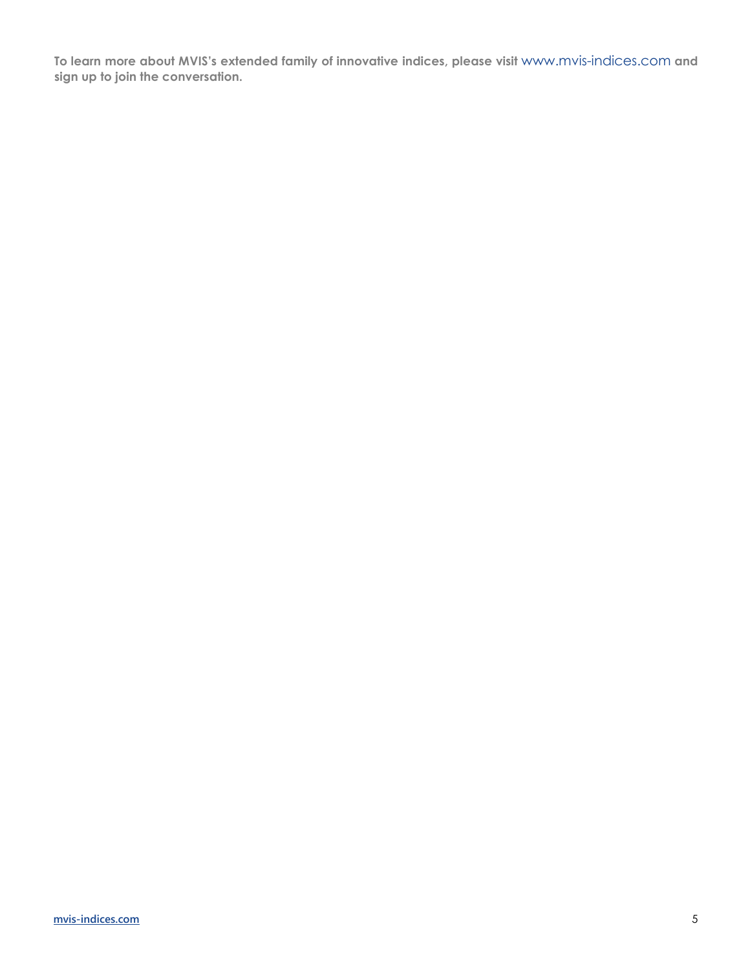**To learn more about MVIS's extended family of innovative indices, please visit** [www.mvis-indices.com](http://www.mvis-indices.com/) **and [sign up](https://www.mvis-indices.com/register) to join the conversation.**